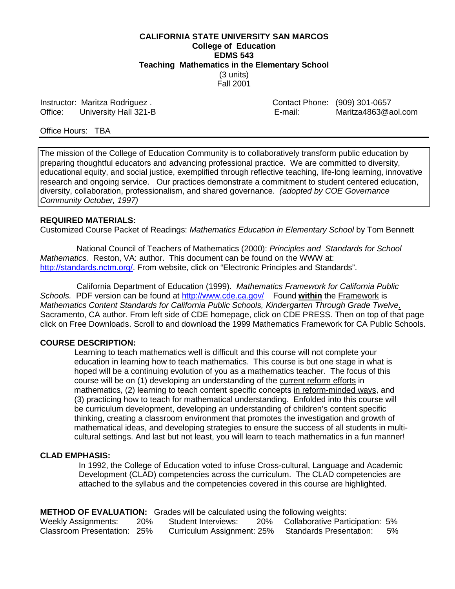**CALIFORNIA STATE UNIVERSITY SAN MARCOS College of Education EDMS 543 Teaching Mathematics in the Elementary School** (3 units) Fall 2001

Office: University Hall 321-B E-mail: E-mail:

Instructor: Maritza Rodriguez .<br>
Office: University Hall 321-B<br>
Contact Phone: (909) 301-0657<br>
E-mail: Maritza4863@aol.com

Office Hours: TBA

The mission of the College of Education Community is to collaboratively transform public education by preparing thoughtful educators and advancing professional practice. We are committed to diversity, educational equity, and social justice, exemplified through reflective teaching, life-long learning, innovative research and ongoing service. Our practices demonstrate a commitment to student centered education, diversity, collaboration, professionalism, and shared governance. *(adopted by COE Governance Community October, 1997)*

#### **REQUIRED MATERIALS:**

Customized Course Packet of Readings: *Mathematics Education in Elementary School* by Tom Bennett

 National Council of Teachers of Mathematics (2000): *Principles and Standards for School Mathematics.* Reston, VA: author. This document can be found on the WWW at: http://standards.nctm.org/. From website, click on "Electronic Principles and Standards".

 California Department of Education (1999). *Mathematics Framework for California Public Schools.* PDF version can be found at http://www.cde.ca.gov/ Found **within** the Framework is *Mathematics Content Standards for California Public Schools, Kindergarten Through Grade Twelve*. Sacramento, CA author. From left side of CDE homepage, click on CDE PRESS. Then on top of that page click on Free Downloads. Scroll to and download the 1999 Mathematics Framework for CA Public Schools.

#### **COURSE DESCRIPTION:**

Learning to teach mathematics well is difficult and this course will not complete your education in learning how to teach mathematics. This course is but one stage in what is hoped will be a continuing evolution of you as a mathematics teacher. The focus of this course will be on (1) developing an understanding of the current reform efforts in mathematics, (2) learning to teach content specific concepts in reform-minded ways, and (3) practicing how to teach for mathematical understanding. Enfolded into this course will be curriculum development, developing an understanding of children's content specific thinking, creating a classroom environment that promotes the investigation and growth of mathematical ideas, and developing strategies to ensure the success of all students in multi cultural settings. And last but not least, you will learn to teach mathematics in a fun manner!

#### **CLAD EMPHASIS:**

 In 1992, the College of Education voted to infuse Cross-cultural, Language and Academic Development (CLAD) competencies across the curriculum. The CLAD competencies are attached to the syllabus and the competencies covered in this course are highlighted.

**METHOD OF EVALUATION:** Grades will be calculated using the following weights:

| <b>Weekly Assignments:</b>  | 20% | Student Interviews:        | 20% | Collaborative Participation: 5% |    |
|-----------------------------|-----|----------------------------|-----|---------------------------------|----|
| Classroom Presentation: 25% |     | Curriculum Assignment: 25% |     | <b>Standards Presentation:</b>  | 5% |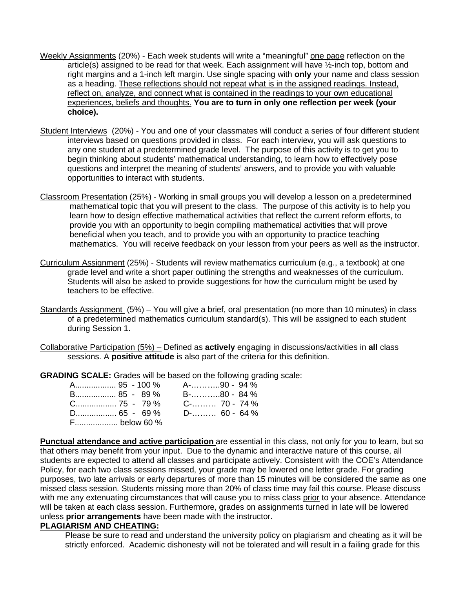- Weekly Assignments (20%) Each week students will write a "meaningful" one page reflection on the article(s) assigned to be read for that week. Each assignment will have ½-inch top, bottom and right margins and a 1-inch left margin. Use single spacing with **only** your name and class session as a heading. These reflections should not repeat what is in the assigned readings. Instead, reflect on, analyze, and connect what is contained in the readings to your own educational experiences, beliefs and thoughts. **You are to turn in only one reflection per week (your choice).**
- Student Interviews (20%) You and one of your classmates will conduct a series of four different student interviews based on questions provided in class. For each interview, you will ask questions to any one student at a predetermined grade level. The purpose of this activity is to get you to begin thinking about students' mathematical understanding, to learn how to effectively pose questions and interpret the meaning of students' answers, and to provide you with valuable opportunities to interact with students.
- Classroom Presentation (25%) Working in small groups you will develop a lesson on a predetermined mathematical topic that you will present to the class. The purpose of this activity is to help you learn how to design effective mathematical activities that reflect the current reform efforts, to provide you with an opportunity to begin compiling mathematical activities that will prove beneficial when you teach, and to provide you with an opportunity to practice teaching mathematics. You will receive feedback on your lesson from your peers as well as the instructor.
- Curriculum Assignment (25%) Students will review mathematics curriculum (e.g., a textbook) at one grade level and write a short paper outlining the strengths and weaknesses of the curriculum. Students will also be asked to provide suggestions for how the curriculum might be used by teachers to be effective.
- Standards Assignment (5%) You will give a brief, oral presentation (no more than 10 minutes) in class of a predetermined mathematics curriculum standard(s). This will be assigned to each student during Session 1.
- Collaborative Participation (5%) Defined as **actively** engaging in discussions/activities in **all** class sessions. A **positive attitude** is also part of the criteria for this definition.

**GRADING SCALE:** Grades will be based on the following grading scale:

| B 85 - 89 %                      | B-…………80 - 84 % |
|----------------------------------|-----------------|
| $C_{\dots}$ 75 - 79% C- 70 - 74% |                 |
|                                  |                 |
| F below 60 %                     |                 |

**Punctual attendance and active participation** are essential in this class, not only for you to learn, but so that others may benefit from your input. Due to the dynamic and interactive nature of this course, all students are expected to attend all classes and participate actively. Consistent with the COE's Attendance Policy, for each two class sessions missed, your grade may be lowered one letter grade. For grading purposes, two late arrivals or early departures of more than 15 minutes will be considered the same as one missed class session. Students missing more than 20% of class time may fail this course. Please discuss with me any extenuating circumstances that will cause you to miss class prior to your absence. Attendance will be taken at each class session. Furthermore, grades on assignments turned in late will be lowered unless **prior arrangements** have been made with the instructor.

# **PLAGIARISM AND CHEATING:**

Please be sure to read and understand the university policy on plagiarism and cheating as it will be strictly enforced. Academic dishonesty will not be tolerated and will result in a failing grade for this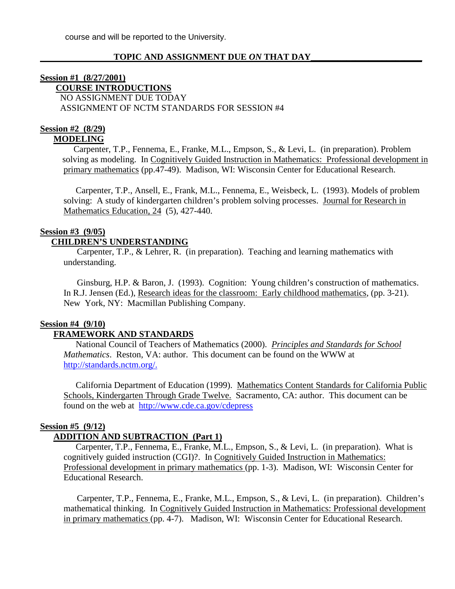## **TOPIC AND ASSIGNMENT DUE** *ON* **THAT DAY\_\_\_\_\_\_\_\_\_\_\_\_\_\_\_\_\_\_\_\_\_\_\_\_\_**

# **Session #1 (8/27/2001) COURSE INTRODUCTIONS** NO ASSIGNMENT DUE TODAY ASSIGNMENT OF NCTM STANDARDS FOR SESSION #4

#### **Session #2 (8/29) MODELING**

Carpenter, T.P., Fennema, E., Franke, M.L., Empson, S., & Levi, L. (in preparation). Problem solving as modeling. In Cognitively Guided Instruction in Mathematics: Professional development in primary mathematics (pp.47-49). Madison, WI: Wisconsin Center for Educational Research.

 Carpenter, T.P., Ansell, E., Frank, M.L., Fennema, E., Weisbeck, L. (1993). Models of problem solving: A study of kindergarten children's problem solving processes. Journal for Research in Mathematics Education, 24 (5), 427-440.

# **Session #3 (9/05)**

# **CHILDREN'S UNDERSTANDING**

Carpenter, T.P., & Lehrer, R. (in preparation). Teaching and learning mathematics with understanding.

 Ginsburg, H.P. & Baron, J. (1993). Cognition: Young children's construction of mathematics. In R.J. Jensen (Ed.), Research ideas for the classroom: Early childhood mathematics, (pp. 3-21). New York, NY: Macmillan Publishing Company.

#### **Session #4 (9/10)**

# **FRAMEWORK AND STANDARDS**

 National Council of Teachers of Mathematics (2000). *Principles and Standards for School Mathematics*. Reston, VA: author. This document can be found on the WWW at http://standards.nctm.org/.

 California Department of Education (1999). Mathematics Content Standards for California Public Schools, Kindergarten Through Grade Twelve. Sacramento, CA: author. This document can be found on the web at http://www.cde.ca.gov/cdepress

#### **Session #5 (9/12)**

# **ADDITION AND SUBTRACTION (Part 1)**

Carpenter, T.P., Fennema, E., Franke, M.L., Empson, S., & Levi, L. (in preparation). What is cognitively guided instruction (CGI)?. In Cognitively Guided Instruction in Mathematics: Professional development in primary mathematics (pp. 1-3). Madison, WI: Wisconsin Center for Educational Research.

 Carpenter, T.P., Fennema, E., Franke, M.L., Empson, S., & Levi, L. (in preparation). Children's mathematical thinking. In Cognitively Guided Instruction in Mathematics: Professional development in primary mathematics (pp. 4-7). Madison, WI: Wisconsin Center for Educational Research.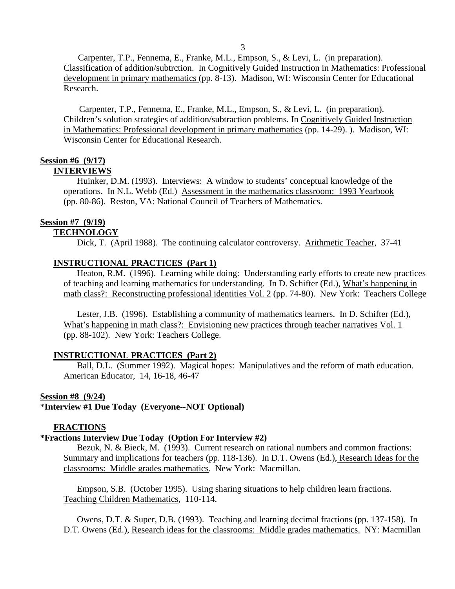3

 Carpenter, T.P., Fennema, E., Franke, M.L., Empson, S., & Levi, L. (in preparation). Classification of addition/subtrction. In Cognitively Guided Instruction in Mathematics: Professional development in primary mathematics (pp. 8-13). Madison, WI: Wisconsin Center for Educational Research.

 Carpenter, T.P., Fennema, E., Franke, M.L., Empson, S., & Levi, L. (in preparation). Children's solution strategies of addition/subtraction problems. In Cognitively Guided Instruction in Mathematics: Professional development in primary mathematics (pp. 14-29). ). Madison, WI: Wisconsin Center for Educational Research.

# **Session #6 (9/17)**

#### **INTERVIEWS**

 Huinker, D.M. (1993). Interviews: A window to students' conceptual knowledge of the operations. In N.L. Webb (Ed.) Assessment in the mathematics classroom: 1993 Yearbook (pp. 80-86). Reston, VA: National Council of Teachers of Mathematics.

# **Session #7 (9/19)**

# **TECHNOLOGY**

Dick, T. (April 1988). The continuing calculator controversy. Arithmetic Teacher, 37-41

# **INSTRUCTIONAL PRACTICES (Part 1)**

Heaton, R.M. (1996). Learning while doing: Understanding early efforts to create new practices of teaching and learning mathematics for understanding. In D. Schifter (Ed.), What's happening in math class?: Reconstructing professional identities Vol. 2 (pp. 74-80). New York: Teachers College

 Lester, J.B. (1996). Establishing a community of mathematics learners. In D. Schifter (Ed.), What's happening in math class?: Envisioning new practices through teacher narratives Vol. 1 (pp. 88-102). New York: Teachers College.

# **INSTRUCTIONAL PRACTICES (Part 2)**

 Ball, D.L. (Summer 1992). Magical hopes: Manipulatives and the reform of math education. American Educator, 14, 16-18, 46-47

#### **Session #8 (9/24)**

# \***Interview #1 Due Today (Everyone--NOT Optional)**

#### **FRACTIONS**

# **\*Fractions Interview Due Today (Option For Interview #2)**

 Bezuk, N. & Bieck, M. (1993). Current research on rational numbers and common fractions: Summary and implications for teachers (pp. 118-136). In D.T. Owens (Ed.), Research Ideas for the classrooms: Middle grades mathematics. New York: Macmillan.

 Empson, S.B. (October 1995). Using sharing situations to help children learn fractions. Teaching Children Mathematics, 110-114.

 Owens, D.T. & Super, D.B. (1993). Teaching and learning decimal fractions (pp. 137-158). In D.T. Owens (Ed.), Research ideas for the classrooms: Middle grades mathematics. NY: Macmillan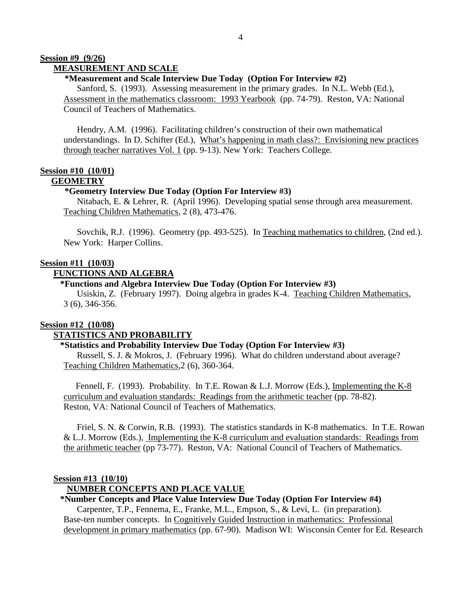#### **Session #9 (9/26) MEASUREMENT AND SCALE**

#### **\*Measurement and Scale Interview Due Today (Option For Interview #2)**

 Sanford, S. (1993). Assessing measurement in the primary grades. In N.L. Webb (Ed.), Assessment in the mathematics classroom: 1993 Yearbook (pp. 74-79). Reston, VA: National Council of Teachers of Mathematics.

 Hendry, A.M. (1996). Facilitating children's construction of their own mathematical understandings. In D. Schifter (Ed.), What's happening in math class?: Envisioning new practices through teacher narratives Vol. 1 (pp. 9-13). New York: Teachers College.

# **Session #10 (10/01)**

# **GEOMETRY**

#### **\*Geometry Interview Due Today (Option For Interview #3)**

Nitabach, E. & Lehrer, R. (April 1996). Developing spatial sense through area measurement. Teaching Children Mathematics, 2 (8), 473-476.

Sovchik, R.J. (1996). Geometry (pp. 493-525). In Teaching mathematics to children, (2nd ed.). New York: Harper Collins.

#### **Session #11 (10/03)**

#### **FUNCTIONS AND ALGEBRA**

#### **\*Functions and Algebra Interview Due Today (Option For Interview #3)**

 Usiskin, Z. (February 1997). Doing algebra in grades K-4. Teaching Children Mathematics, 3 (6), 346-356.

#### **Session #12 (10/08)**

#### **STATISTICS AND PROBABILITY**

#### **\*Statistics and Probability Interview Due Today (Option For Interview #3)**

 Russell, S. J. & Mokros, J. (February 1996). What do children understand about average? Teaching Children Mathematics,2 (6), 360-364.

 Fennell, F. (1993). Probability. In T.E. Rowan & L.J. Morrow (Eds.), Implementing the K-8 curriculum and evaluation standards: Readings from the arithmetic teacher (pp. 78-82). Reston, VA: National Council of Teachers of Mathematics.

 Friel, S. N. & Corwin, R.B. (1993). The statistics standards in K-8 mathematics. In T.E. Rowan & L.J. Morrow (Eds.), Implementing the K-8 curriculum and evaluation standards: Readings from the arithmetic teacher (pp 73-77). Reston, VA: National Council of Teachers of Mathematics.

#### **Session #13 (10/10)**

#### **NUMBER CONCEPTS AND PLACE VALUE**

# **\*Number Concepts and Place Value Interview Due Today (Option For Interview #4)**

 Carpenter, T.P., Fennema, E., Franke, M.L., Empson, S., & Levi, L. (in preparation). Base-ten number concepts. In Cognitively Guided Instruction in mathematics: Professional development in primary mathematics (pp. 67-90). Madison WI: Wisconsin Center for Ed. Research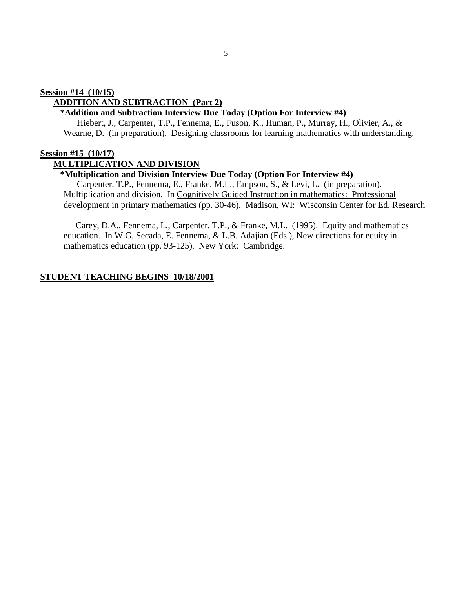# **ADDITION AND SUBTRACTION (Part 2)**

# **\*Addition and Subtraction Interview Due Today (Option For Interview #4)**

Hiebert, J., Carpenter, T.P., Fennema, E., Fuson, K., Human, P., Murray, H., Olivier, A., & Wearne, D. (in preparation). Designing classrooms for learning mathematics with understanding.

#### **Session #15 (10/17)**

#### **MULTIPLICATION AND DIVISION**

#### **\*Multiplication and Division Interview Due Today (Option For Interview #4)**

Carpenter, T.P., Fennema, E., Franke, M.L., Empson, S., & Levi, L**.** (in preparation). Multiplication and division. In Cognitively Guided Instruction in mathematics: Professional development in primary mathematics (pp. 30-46). Madison, WI: Wisconsin Center for Ed. Research

Carey, D.A., Fennema, L., Carpenter, T.P., & Franke, M.L. (1995). Equity and mathematics education. In W.G. Secada, E. Fennema, & L.B. Adajian (Eds.), New directions for equity in mathematics education (pp. 93-125). New York: Cambridge.

#### **STUDENT TEACHING BEGINS 10/18/2001**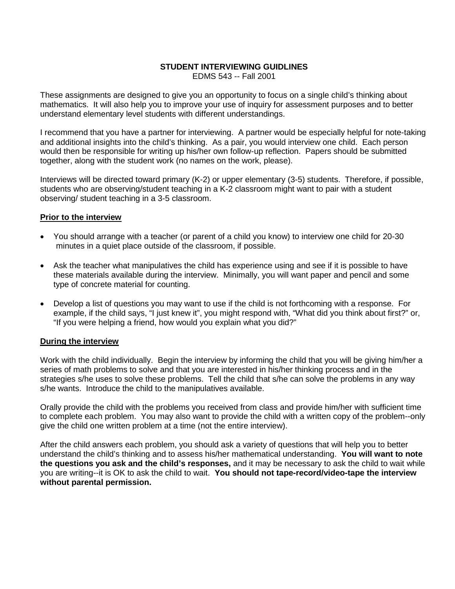# **STUDENT INTERVIEWING GUIDLINES**

EDMS 543 -- Fall 2001

These assignments are designed to give you an opportunity to focus on a single child's thinking about mathematics. It will also help you to improve your use of inquiry for assessment purposes and to better understand elementary level students with different understandings.

I recommend that you have a partner for interviewing. A partner would be especially helpful for note-taking and additional insights into the child's thinking. As a pair, you would interview one child. Each person would then be responsible for writing up his/her own follow-up reflection. Papers should be submitted together, along with the student work (no names on the work, please).

Interviews will be directed toward primary (K-2) or upper elementary (3-5) students. Therefore, if possible, students who are observing/student teaching in a K-2 classroom might want to pair with a student observing/ student teaching in a 3-5 classroom.

# **Prior to the interview**

- You should arrange with a teacher (or parent of a child you know) to interview one child for 20-30 minutes in a quiet place outside of the classroom, if possible.
- Ask the teacher what manipulatives the child has experience using and see if it is possible to have these materials available during the interview. Minimally, you will want paper and pencil and some type of concrete material for counting.
- Develop a list of questions you may want to use if the child is not forthcoming with a response. For example, if the child says, "I just knew it", you might respond with, "What did you think about first?" or, "If you were helping a friend, how would you explain what you did?"

# **During the interview**

Work with the child individually. Begin the interview by informing the child that you will be giving him/her a series of math problems to solve and that you are interested in his/her thinking process and in the strategies s/he uses to solve these problems. Tell the child that s/he can solve the problems in any way s/he wants. Introduce the child to the manipulatives available.

Orally provide the child with the problems you received from class and provide him/her with sufficient time to complete each problem. You may also want to provide the child with a written copy of the problem--only give the child one written problem at a time (not the entire interview).

After the child answers each problem, you should ask a variety of questions that will help you to better understand the child's thinking and to assess his/her mathematical understanding. **You will want to note the questions you ask and the child's responses,** and it may be necessary to ask the child to wait while you are writing--it is OK to ask the child to wait. **You should not tape-record/video-tape the interview without parental permission.**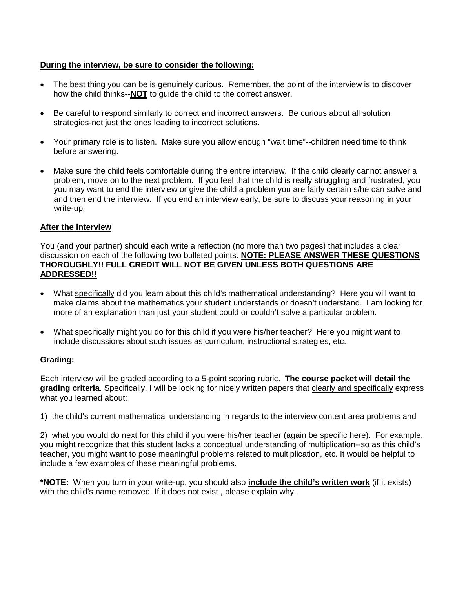# **During the interview, be sure to consider the following:**

- The best thing you can be is genuinely curious. Remember, the point of the interview is to discover how the child thinks--**NOT** to guide the child to the correct answer.
- Be careful to respond similarly to correct and incorrect answers. Be curious about all solution strategies-not just the ones leading to incorrect solutions.
- Your primary role is to listen. Make sure you allow enough "wait time"--children need time to think before answering.
- Make sure the child feels comfortable during the entire interview. If the child clearly cannot answer a problem, move on to the next problem. If you feel that the child is really struggling and frustrated, you you may want to end the interview or give the child a problem you are fairly certain s/he can solve and and then end the interview. If you end an interview early, be sure to discuss your reasoning in your write-up.

# **After the interview**

You (and your partner) should each write a reflection (no more than two pages) that includes a clear discussion on each of the following two bulleted points: **NOTE: PLEASE ANSWER THESE QUESTIONS THOROUGHLY!! FULL CREDIT WILL NOT BE GIVEN UNLESS BOTH QUESTIONS ARE ADDRESSED!!**

- What specifically did you learn about this child's mathematical understanding? Here you will want to make claims about the mathematics your student understands or doesn't understand. I am looking for more of an explanation than just your student could or couldn't solve a particular problem.
- What specifically might you do for this child if you were his/her teacher? Here you might want to include discussions about such issues as curriculum, instructional strategies, etc.

# **Grading:**

Each interview will be graded according to a 5-point scoring rubric. **The course packet will detail the grading criteria**. Specifically, I will be looking for nicely written papers that clearly and specifically express what you learned about:

1) the child's current mathematical understanding in regards to the interview content area problems and

2) what you would do next for this child if you were his/her teacher (again be specific here). For example, you might recognize that this student lacks a conceptual understanding of multiplication--so as this child's teacher, you might want to pose meaningful problems related to multiplication, etc. It would be helpful to include a few examples of these meaningful problems.

**\*NOTE:** When you turn in your write-up, you should also **include the child's written work** (if it exists) with the child's name removed. If it does not exist , please explain why.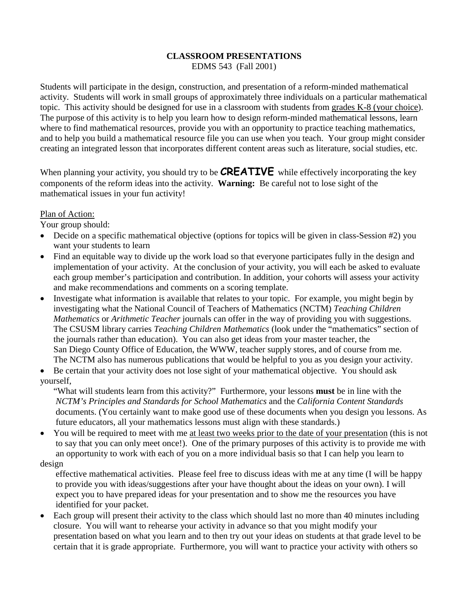# **CLASSROOM PRESENTATIONS**

EDMS 543 (Fall 2001)

Students will participate in the design, construction, and presentation of a reform-minded mathematical activity. Students will work in small groups of approximately three individuals on a particular mathematical topic. This activity should be designed for use in a classroom with students from grades K-8 (your choice). The purpose of this activity is to help you learn how to design reform-minded mathematical lessons, learn where to find mathematical resources, provide you with an opportunity to practice teaching mathematics, and to help you build a mathematical resource file you can use when you teach. Your group might consider creating an integrated lesson that incorporates different content areas such as literature, social studies, etc.

When planning your activity, you should try to be **CREATIVE** while effectively incorporating the key components of the reform ideas into the activity. **Warning:** Be careful not to lose sight of the mathematical issues in your fun activity!

# Plan of Action:

Your group should:

- Decide on a specific mathematical objective (options for topics will be given in class-Session #2) you want your students to learn
- Find an equitable way to divide up the work load so that everyone participates fully in the design and implementation of your activity. At the conclusion of your activity, you will each be asked to evaluate each group member's participation and contribution. In addition, your cohorts will assess your activity and make recommendations and comments on a scoring template.
- Investigate what information is available that relates to your topic. For example, you might begin by investigating what the National Council of Teachers of Mathematics (NCTM) *Teaching Children Mathematics* or *Arithmetic Teacher* journals can offer in the way of providing you with suggestions. The CSUSM library carries *Teaching Children Mathematics* (look under the "mathematics" section of the journals rather than education). You can also get ideas from your master teacher, the San Diego County Office of Education, the WWW, teacher supply stores, and of course from me. The NCTM also has numerous publications that would be helpful to you as you design your activity.

• Be certain that your activity does not lose sight of your mathematical objective. You should ask yourself,

"What will students learn from this activity?" Furthermore, your lessons **must** be in line with the *NCTM's Principles and Standards for School Mathematics* and the *California Content Standards* documents. (You certainly want to make good use of these documents when you design you lessons. As future educators, all your mathematics lessons must align with these standards.)

• You will be required to meet with me at least two weeks prior to the date of your presentation (this is not to say that you can only meet once!). One of the primary purposes of this activity is to provide me with an opportunity to work with each of you on a more individual basis so that I can help you learn to design

 effective mathematical activities. Please feel free to discuss ideas with me at any time (I will be happy to provide you with ideas/suggestions after your have thought about the ideas on your own). I will expect you to have prepared ideas for your presentation and to show me the resources you have identified for your packet.

• Each group will present their activity to the class which should last no more than 40 minutes including closure. You will want to rehearse your activity in advance so that you might modify your presentation based on what you learn and to then try out your ideas on students at that grade level to be certain that it is grade appropriate. Furthermore, you will want to practice your activity with others so